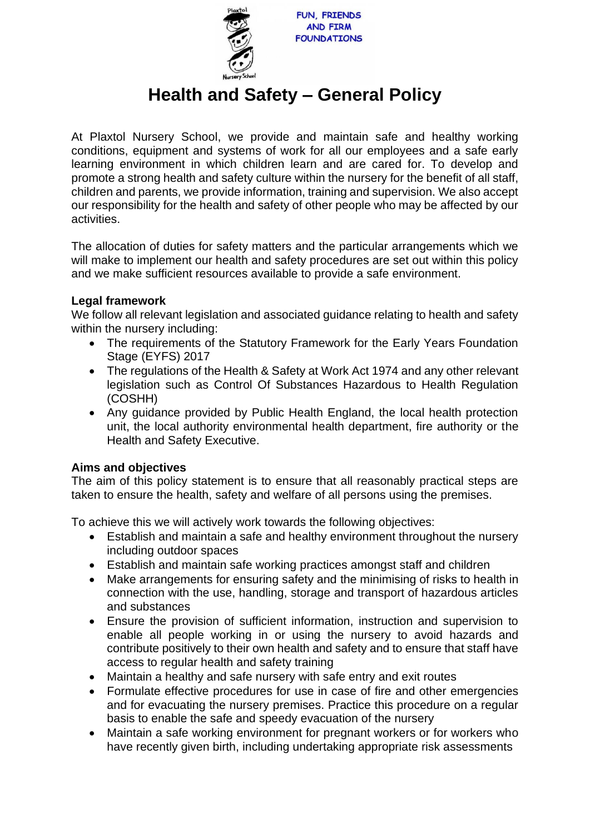

# **Health and Safety – General Policy**

At Plaxtol Nursery School, we provide and maintain safe and healthy working conditions, equipment and systems of work for all our employees and a safe early learning environment in which children learn and are cared for. To develop and promote a strong health and safety culture within the nursery for the benefit of all staff, children and parents, we provide information, training and supervision. We also accept our responsibility for the health and safety of other people who may be affected by our activities.

The allocation of duties for safety matters and the particular arrangements which we will make to implement our health and safety procedures are set out within this policy and we make sufficient resources available to provide a safe environment.

## **Legal framework**

We follow all relevant legislation and associated guidance relating to health and safety within the nursery including:

- The requirements of the Statutory Framework for the Early Years Foundation Stage (EYFS) 2017
- The regulations of the Health & Safety at Work Act 1974 and any other relevant legislation such as Control Of Substances Hazardous to Health Regulation (COSHH)
- Any guidance provided by Public Health England, the local health protection unit, the local authority environmental health department, fire authority or the Health and Safety Executive.

# **Aims and objectives**

The aim of this policy statement is to ensure that all reasonably practical steps are taken to ensure the health, safety and welfare of all persons using the premises.

To achieve this we will actively work towards the following objectives:

- Establish and maintain a safe and healthy environment throughout the nursery including outdoor spaces
- Establish and maintain safe working practices amongst staff and children
- Make arrangements for ensuring safety and the minimising of risks to health in connection with the use, handling, storage and transport of hazardous articles and substances
- Ensure the provision of sufficient information, instruction and supervision to enable all people working in or using the nursery to avoid hazards and contribute positively to their own health and safety and to ensure that staff have access to regular health and safety training
- Maintain a healthy and safe nursery with safe entry and exit routes
- Formulate effective procedures for use in case of fire and other emergencies and for evacuating the nursery premises. Practice this procedure on a regular basis to enable the safe and speedy evacuation of the nursery
- Maintain a safe working environment for pregnant workers or for workers who have recently given birth, including undertaking appropriate risk assessments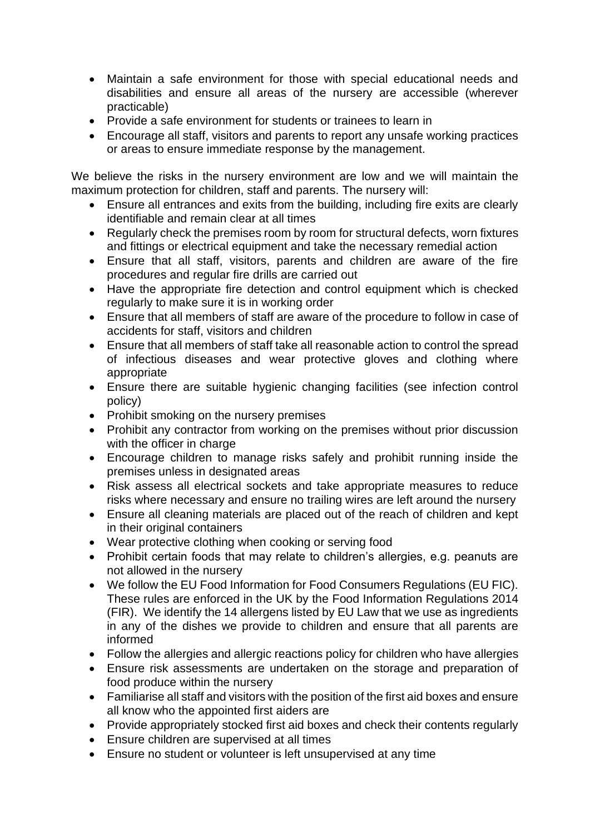- Maintain a safe environment for those with special educational needs and disabilities and ensure all areas of the nursery are accessible (wherever practicable)
- Provide a safe environment for students or trainees to learn in
- Encourage all staff, visitors and parents to report any unsafe working practices or areas to ensure immediate response by the management.

We believe the risks in the nursery environment are low and we will maintain the maximum protection for children, staff and parents. The nursery will:

- Ensure all entrances and exits from the building, including fire exits are clearly identifiable and remain clear at all times
- Regularly check the premises room by room for structural defects, worn fixtures and fittings or electrical equipment and take the necessary remedial action
- Ensure that all staff, visitors, parents and children are aware of the fire procedures and regular fire drills are carried out
- Have the appropriate fire detection and control equipment which is checked regularly to make sure it is in working order
- Ensure that all members of staff are aware of the procedure to follow in case of accidents for staff, visitors and children
- Ensure that all members of staff take all reasonable action to control the spread of infectious diseases and wear protective gloves and clothing where appropriate
- Ensure there are suitable hygienic changing facilities (see infection control policy)
- Prohibit smoking on the nursery premises
- Prohibit any contractor from working on the premises without prior discussion with the officer in charge
- Encourage children to manage risks safely and prohibit running inside the premises unless in designated areas
- Risk assess all electrical sockets and take appropriate measures to reduce risks where necessary and ensure no trailing wires are left around the nursery
- Ensure all cleaning materials are placed out of the reach of children and kept in their original containers
- Wear protective clothing when cooking or serving food
- Prohibit certain foods that may relate to children's allergies, e.g. peanuts are not allowed in the nursery
- We follow the EU Food Information for Food Consumers Regulations (EU FIC). These rules are enforced in the UK by the Food Information Regulations 2014 (FIR). We identify the 14 allergens listed by EU Law that we use as ingredients in any of the dishes we provide to children and ensure that all parents are informed
- Follow the allergies and allergic reactions policy for children who have allergies
- Ensure risk assessments are undertaken on the storage and preparation of food produce within the nursery
- Familiarise all staff and visitors with the position of the first aid boxes and ensure all know who the appointed first aiders are
- Provide appropriately stocked first aid boxes and check their contents regularly
- Ensure children are supervised at all times
- Ensure no student or volunteer is left unsupervised at any time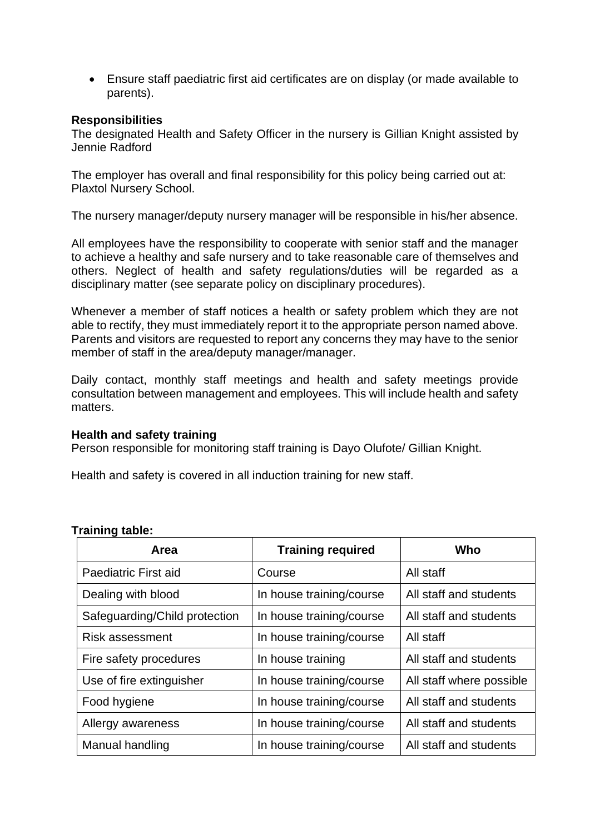• Ensure staff paediatric first aid certificates are on display (or made available to parents).

### **Responsibilities**

The designated Health and Safety Officer in the nursery is Gillian Knight assisted by Jennie Radford

The employer has overall and final responsibility for this policy being carried out at: Plaxtol Nursery School.

The nursery manager/deputy nursery manager will be responsible in his/her absence.

All employees have the responsibility to cooperate with senior staff and the manager to achieve a healthy and safe nursery and to take reasonable care of themselves and others. Neglect of health and safety regulations/duties will be regarded as a disciplinary matter (see separate policy on disciplinary procedures).

Whenever a member of staff notices a health or safety problem which they are not able to rectify, they must immediately report it to the appropriate person named above. Parents and visitors are requested to report any concerns they may have to the senior member of staff in the area/deputy manager/manager.

Daily contact, monthly staff meetings and health and safety meetings provide consultation between management and employees. This will include health and safety matters.

#### **Health and safety training**

Person responsible for monitoring staff training is Dayo Olufote/ Gillian Knight.

Health and safety is covered in all induction training for new staff.

| Area                          | <b>Training required</b> | Who                      |
|-------------------------------|--------------------------|--------------------------|
| Paediatric First aid          | Course                   | All staff                |
| Dealing with blood            | In house training/course | All staff and students   |
| Safeguarding/Child protection | In house training/course | All staff and students   |
| <b>Risk assessment</b>        | In house training/course | All staff                |
| Fire safety procedures        | In house training        | All staff and students   |
| Use of fire extinguisher      | In house training/course | All staff where possible |
| Food hygiene                  | In house training/course | All staff and students   |
| Allergy awareness             | In house training/course | All staff and students   |
| Manual handling               | In house training/course | All staff and students   |

#### **Training table:**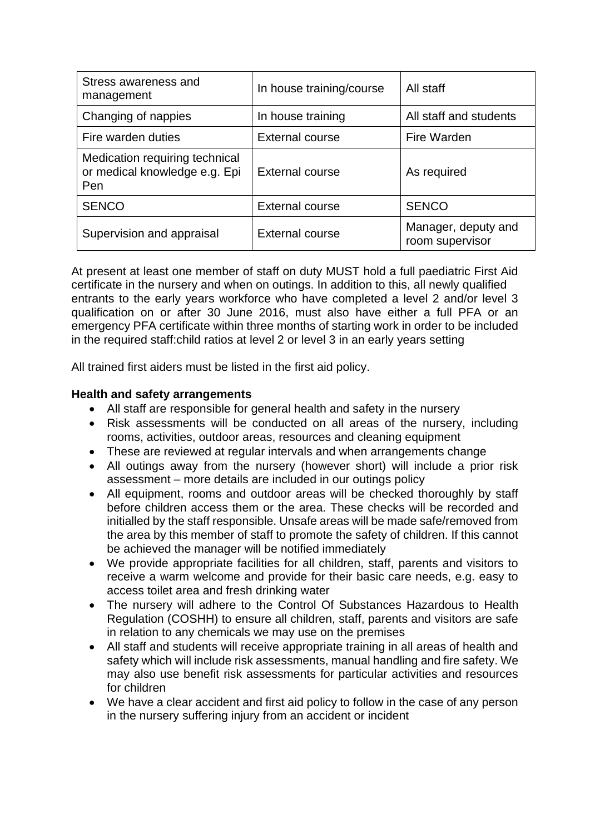| Stress awareness and<br>management                                     | In house training/course | All staff                              |
|------------------------------------------------------------------------|--------------------------|----------------------------------------|
| Changing of nappies                                                    | In house training        | All staff and students                 |
| Fire warden duties                                                     | <b>External course</b>   | Fire Warden                            |
| Medication requiring technical<br>or medical knowledge e.g. Epi<br>Pen | <b>External course</b>   | As required                            |
| <b>SENCO</b>                                                           | <b>External course</b>   | <b>SENCO</b>                           |
| Supervision and appraisal                                              | <b>External course</b>   | Manager, deputy and<br>room supervisor |

At present at least one member of staff on duty MUST hold a full paediatric First Aid certificate in the nursery and when on outings. In addition to this, all newly qualified entrants to the early years workforce who have completed a level 2 and/or level 3 qualification on or after 30 June 2016, must also have either a full PFA or an emergency PFA certificate within three months of starting work in order to be included in the required staff:child ratios at level 2 or level 3 in an early years setting

All trained first aiders must be listed in the first aid policy.

## **Health and safety arrangements**

- All staff are responsible for general health and safety in the nursery
- Risk assessments will be conducted on all areas of the nursery, including rooms, activities, outdoor areas, resources and cleaning equipment
- These are reviewed at regular intervals and when arrangements change
- All outings away from the nursery (however short) will include a prior risk assessment – more details are included in our outings policy
- All equipment, rooms and outdoor areas will be checked thoroughly by staff before children access them or the area. These checks will be recorded and initialled by the staff responsible. Unsafe areas will be made safe/removed from the area by this member of staff to promote the safety of children. If this cannot be achieved the manager will be notified immediately
- We provide appropriate facilities for all children, staff, parents and visitors to receive a warm welcome and provide for their basic care needs, e.g. easy to access toilet area and fresh drinking water
- The nursery will adhere to the Control Of Substances Hazardous to Health Regulation (COSHH) to ensure all children, staff, parents and visitors are safe in relation to any chemicals we may use on the premises
- All staff and students will receive appropriate training in all areas of health and safety which will include risk assessments, manual handling and fire safety. We may also use benefit risk assessments for particular activities and resources for children
- We have a clear accident and first aid policy to follow in the case of any person in the nursery suffering injury from an accident or incident